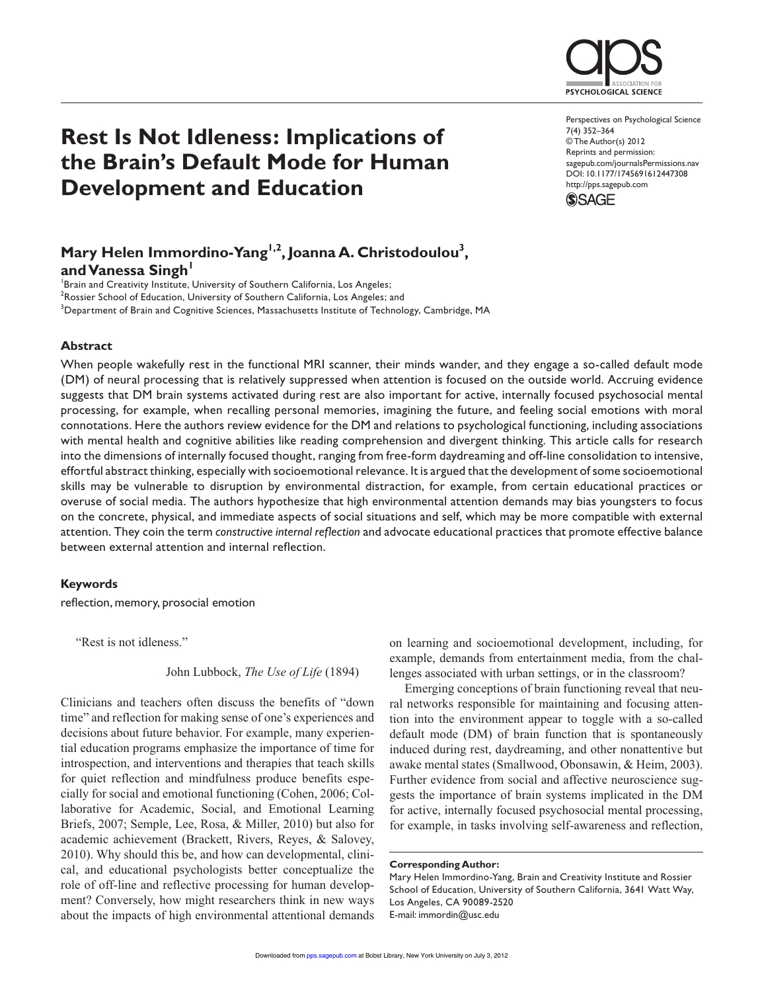

# **Rest Is Not Idleness: Implications of the Brain's Default Mode for Human Development and Education**

Perspectives on Psychological Science 7(4) 352–364 © The Author(s) 2012 Reprints and permission: sagepub.com/journalsPermissions.nav DOI: 10.1177/1745691612447308 http://pps.sagepub.com



# Mary Helen Immordino-Yang<sup>1,2</sup>, Joanna A. Christodoulou<sup>3</sup>, **and Vanessa Singh'**

<sup>1</sup>Brain and Creativity Institute, University of Southern California, Los Angeles; <sup>2</sup>Rossier School of Education, University of Southern California, Los Angeles; and  $^3$ Department of Brain and Cognitive Sciences, Massachusetts Institute of Technology, Cambridge, MA

#### **Abstract**

When people wakefully rest in the functional MRI scanner, their minds wander, and they engage a so-called default mode (DM) of neural processing that is relatively suppressed when attention is focused on the outside world. Accruing evidence suggests that DM brain systems activated during rest are also important for active, internally focused psychosocial mental processing, for example, when recalling personal memories, imagining the future, and feeling social emotions with moral connotations. Here the authors review evidence for the DM and relations to psychological functioning, including associations with mental health and cognitive abilities like reading comprehension and divergent thinking. This article calls for research into the dimensions of internally focused thought, ranging from free-form daydreaming and off-line consolidation to intensive, effortful abstract thinking, especially with socioemotional relevance. It is argued that the development of some socioemotional skills may be vulnerable to disruption by environmental distraction, for example, from certain educational practices or overuse of social media. The authors hypothesize that high environmental attention demands may bias youngsters to focus on the concrete, physical, and immediate aspects of social situations and self, which may be more compatible with external attention. They coin the term *constructive internal reflection* and advocate educational practices that promote effective balance between external attention and internal reflection.

#### **Keywords**

reflection, memory, prosocial emotion

"Rest is not idleness."

John Lubbock, *The Use of Life* (1894)

Clinicians and teachers often discuss the benefits of "down time" and reflection for making sense of one's experiences and decisions about future behavior. For example, many experiential education programs emphasize the importance of time for introspection, and interventions and therapies that teach skills for quiet reflection and mindfulness produce benefits especially for social and emotional functioning (Cohen, 2006; Collaborative for Academic, Social, and Emotional Learning Briefs, 2007; Semple, Lee, Rosa, & Miller, 2010) but also for academic achievement (Brackett, Rivers, Reyes, & Salovey, 2010). Why should this be, and how can developmental, clinical, and educational psychologists better conceptualize the role of off-line and reflective processing for human development? Conversely, how might researchers think in new ways about the impacts of high environmental attentional demands

on learning and socioemotional development, including, for example, demands from entertainment media, from the challenges associated with urban settings, or in the classroom?

Emerging conceptions of brain functioning reveal that neural networks responsible for maintaining and focusing attention into the environment appear to toggle with a so-called default mode (DM) of brain function that is spontaneously induced during rest, daydreaming, and other nonattentive but awake mental states (Smallwood, Obonsawin, & Heim, 2003). Further evidence from social and affective neuroscience suggests the importance of brain systems implicated in the DM for active, internally focused psychosocial mental processing, for example, in tasks involving self-awareness and reflection,

Mary Helen Immordino-Yang, Brain and Creativity Institute and Rossier School of Education, University of Southern California, 3641 Watt Way, Los Angeles, CA 90089-2520 E-mail: immordin@usc.edu

**Corresponding Author:**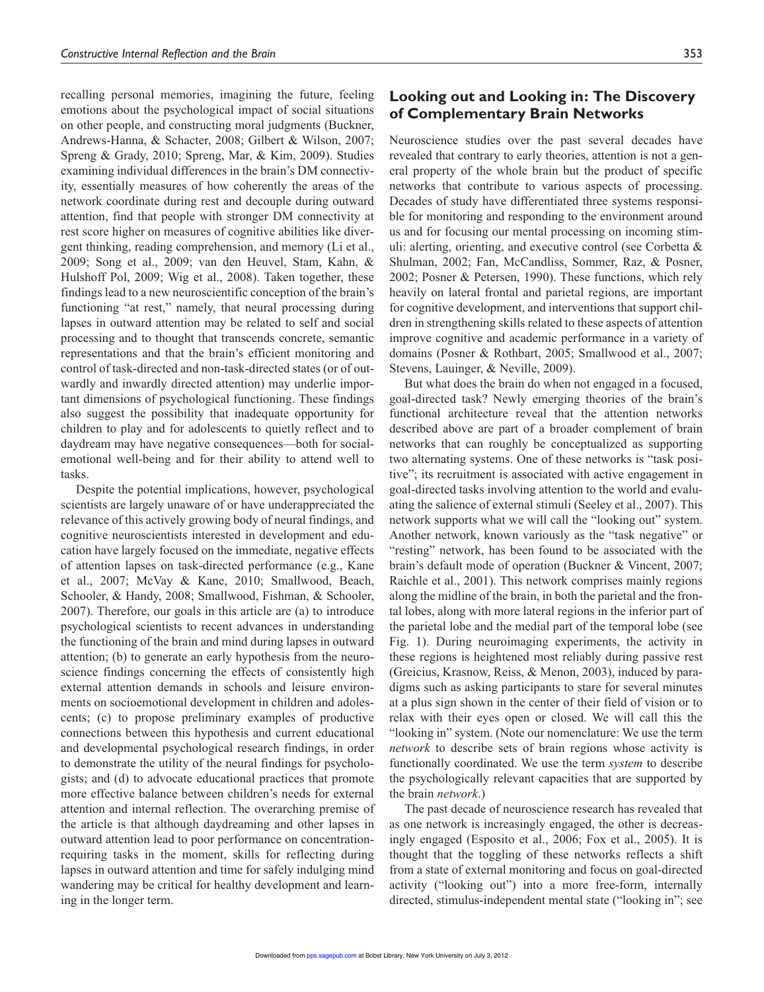recalling personal memories, imagining the future, feeling emotions about the psychological impact of social situations on other people, and constructing moral judgments (Buckner, Andrews-Hanna, & Schacter, 2008; Gilbert & Wilson, 2007; Spreng & Grady, 2010; Spreng, Mar, & Kim, 2009). Studies examining individual differences in the brain's DM connectivity, essentially measures of how coherently the areas of the network coordinate during rest and decouple during outward attention, find that people with stronger DM connectivity at rest score higher on measures of cognitive abilities like divergent thinking, reading comprehension, and memory (Li et al., 2009; Song et al., 2009; van den Heuvel, Stam, Kahn, & Hulshoff Pol, 2009; Wig et al., 2008). Taken together, these findings lead to a new neuroscientific conception of the brain's functioning "at rest," namely, that neural processing during lapses in outward attention may be related to self and social processing and to thought that transcends concrete, semantic representations and that the brain's efficient monitoring and control of task-directed and non-task-directed states (or of outwardly and inwardly directed attention) may underlie important dimensions of psychological functioning. These findings also suggest the possibility that inadequate opportunity for children to play and for adolescents to quietly reflect and to daydream may have negative consequences—both for socialemotional well-being and for their ability to attend well to tasks.

Despite the potential implications, however, psychological scientists are largely unaware of or have underappreciated the relevance of this actively growing body of neural findings, and cognitive neuroscientists interested in development and education have largely focused on the immediate, negative effects of attention lapses on task-directed performance (e.g., Kane et al., 2007; McVay & Kane, 2010; Smallwood, Beach, Schooler, & Handy, 2008; Smallwood, Fishman, & Schooler, 2007). Therefore, our goals in this article are (a) to introduce psychological scientists to recent advances in understanding the functioning of the brain and mind during lapses in outward attention; (b) to generate an early hypothesis from the neuroscience findings concerning the effects of consistently high external attention demands in schools and leisure environments on socioemotional development in children and adolescents; (c) to propose preliminary examples of productive connections between this hypothesis and current educational and developmental psychological research findings, in order to demonstrate the utility of the neural findings for psychologists; and (d) to advocate educational practices that promote more effective balance between children's needs for external attention and internal reflection. The overarching premise of the article is that although daydreaming and other lapses in outward attention lead to poor performance on concentrationrequiring tasks in the moment, skills for reflecting during lapses in outward attention and time for safely indulging mind wandering may be critical for healthy development and learning in the longer term.

#### **Looking out and Looking in: The Discovery of Complementary Brain Networks**

Neuroscience studies over the past several decades have revealed that contrary to early theories, attention is not a general property of the whole brain but the product of specific networks that contribute to various aspects of processing. Decades of study have differentiated three systems responsible for monitoring and responding to the environment around us and for focusing our mental processing on incoming stimuli: alerting, orienting, and executive control (see Corbetta & Shulman, 2002; Fan, McCandliss, Sommer, Raz, & Posner, 2002; Posner & Petersen, 1990). These functions, which rely heavily on lateral frontal and parietal regions, are important for cognitive development, and interventions that support children in strengthening skills related to these aspects of attention improve cognitive and academic performance in a variety of domains (Posner & Rothbart, 2005; Smallwood et al., 2007; Stevens, Lauinger, & Neville, 2009).

But what does the brain do when not engaged in a focused, goal-directed task? Newly emerging theories of the brain's functional architecture reveal that the attention networks described above are part of a broader complement of brain networks that can roughly be conceptualized as supporting two alternating systems. One of these networks is "task positive"; its recruitment is associated with active engagement in goal-directed tasks involving attention to the world and evaluating the salience of external stimuli (Seeley et al., 2007). This network supports what we will call the "looking out" system. Another network, known variously as the "task negative" or "resting" network, has been found to be associated with the brain's default mode of operation (Buckner & Vincent, 2007; Raichle et al., 2001). This network comprises mainly regions along the midline of the brain, in both the parietal and the frontal lobes, along with more lateral regions in the inferior part of the parietal lobe and the medial part of the temporal lobe (see Fig. 1). During neuroimaging experiments, the activity in these regions is heightened most reliably during passive rest (Greicius, Krasnow, Reiss, & Menon, 2003), induced by paradigms such as asking participants to stare for several minutes at a plus sign shown in the center of their field of vision or to relax with their eyes open or closed. We will call this the "looking in" system. (Note our nomenclature: We use the term *network* to describe sets of brain regions whose activity is functionally coordinated. We use the term *system* to describe the psychologically relevant capacities that are supported by the brain *network*.)

The past decade of neuroscience research has revealed that as one network is increasingly engaged, the other is decreasingly engaged (Esposito et al., 2006; Fox et al., 2005). It is thought that the toggling of these networks reflects a shift from a state of external monitoring and focus on goal-directed activity ("looking out") into a more free-form, internally directed, stimulus-independent mental state ("looking in"; see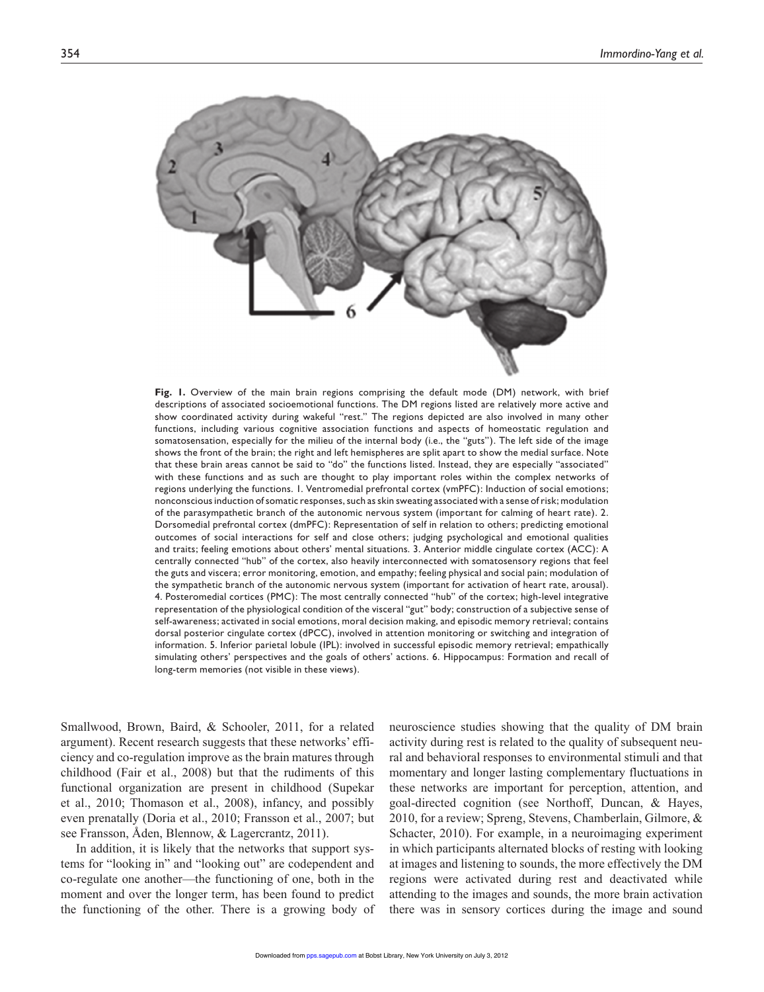

**Fig. 1.** Overview of the main brain regions comprising the default mode (DM) network, with brief descriptions of associated socioemotional functions. The DM regions listed are relatively more active and show coordinated activity during wakeful "rest." The regions depicted are also involved in many other functions, including various cognitive association functions and aspects of homeostatic regulation and somatosensation, especially for the milieu of the internal body (i.e., the "guts"). The left side of the image shows the front of the brain; the right and left hemispheres are split apart to show the medial surface. Note that these brain areas cannot be said to "do" the functions listed. Instead, they are especially "associated" with these functions and as such are thought to play important roles within the complex networks of regions underlying the functions. 1. Ventromedial prefrontal cortex (vmPFC): Induction of social emotions; nonconscious induction of somatic responses, such as skin sweating associated with a sense of risk; modulation of the parasympathetic branch of the autonomic nervous system (important for calming of heart rate). 2. Dorsomedial prefrontal cortex (dmPFC): Representation of self in relation to others; predicting emotional outcomes of social interactions for self and close others; judging psychological and emotional qualities and traits; feeling emotions about others' mental situations. 3. Anterior middle cingulate cortex (ACC): A centrally connected "hub" of the cortex, also heavily interconnected with somatosensory regions that feel the guts and viscera; error monitoring, emotion, and empathy; feeling physical and social pain; modulation of the sympathetic branch of the autonomic nervous system (important for activation of heart rate, arousal). 4. Posteromedial cortices (PMC): The most centrally connected "hub" of the cortex; high-level integrative representation of the physiological condition of the visceral "gut" body; construction of a subjective sense of self-awareness; activated in social emotions, moral decision making, and episodic memory retrieval; contains dorsal posterior cingulate cortex (dPCC), involved in attention monitoring or switching and integration of information. 5. Inferior parietal lobule (IPL): involved in successful episodic memory retrieval; empathically simulating others' perspectives and the goals of others' actions. 6. Hippocampus: Formation and recall of long-term memories (not visible in these views).

Smallwood, Brown, Baird, & Schooler, 2011, for a related argument). Recent research suggests that these networks' efficiency and co-regulation improve as the brain matures through childhood (Fair et al., 2008) but that the rudiments of this functional organization are present in childhood (Supekar et al., 2010; Thomason et al., 2008), infancy, and possibly even prenatally (Doria et al., 2010; Fransson et al., 2007; but see Fransson, Åden, Blennow, & Lagercrantz, 2011).

In addition, it is likely that the networks that support systems for "looking in" and "looking out" are codependent and co-regulate one another—the functioning of one, both in the moment and over the longer term, has been found to predict the functioning of the other. There is a growing body of neuroscience studies showing that the quality of DM brain activity during rest is related to the quality of subsequent neural and behavioral responses to environmental stimuli and that momentary and longer lasting complementary fluctuations in these networks are important for perception, attention, and goal-directed cognition (see Northoff, Duncan, & Hayes, 2010, for a review; Spreng, Stevens, Chamberlain, Gilmore, & Schacter, 2010). For example, in a neuroimaging experiment in which participants alternated blocks of resting with looking at images and listening to sounds, the more effectively the DM regions were activated during rest and deactivated while attending to the images and sounds, the more brain activation there was in sensory cortices during the image and sound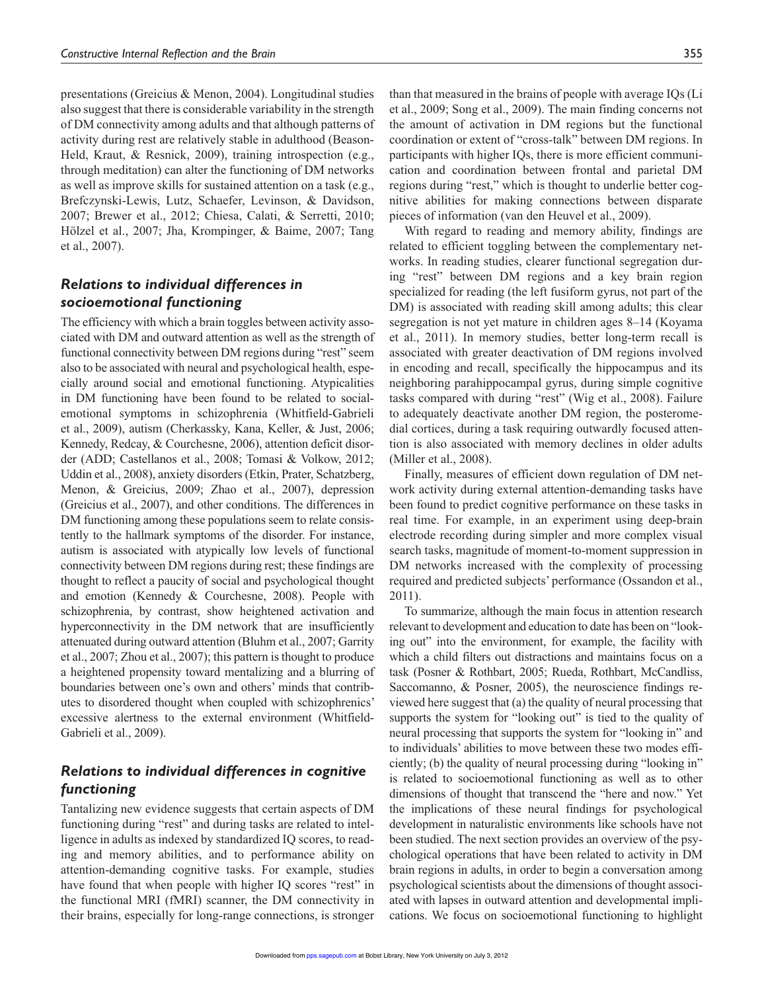presentations (Greicius & Menon, 2004). Longitudinal studies also suggest that there is considerable variability in the strength of DM connectivity among adults and that although patterns of activity during rest are relatively stable in adulthood (Beason-Held, Kraut, & Resnick, 2009), training introspection (e.g., through meditation) can alter the functioning of DM networks as well as improve skills for sustained attention on a task (e.g., Brefczynski-Lewis, Lutz, Schaefer, Levinson, & Davidson, 2007; Brewer et al., 2012; Chiesa, Calati, & Serretti, 2010; Hölzel et al., 2007; Jha, Krompinger, & Baime, 2007; Tang et al., 2007).

### *Relations to individual differences in socioemotional functioning*

The efficiency with which a brain toggles between activity associated with DM and outward attention as well as the strength of functional connectivity between DM regions during "rest" seem also to be associated with neural and psychological health, especially around social and emotional functioning. Atypicalities in DM functioning have been found to be related to socialemotional symptoms in schizophrenia (Whitfield-Gabrieli et al., 2009), autism (Cherkassky, Kana, Keller, & Just, 2006; Kennedy, Redcay, & Courchesne, 2006), attention deficit disorder (ADD; Castellanos et al., 2008; Tomasi & Volkow, 2012; Uddin et al., 2008), anxiety disorders (Etkin, Prater, Schatzberg, Menon, & Greicius, 2009; Zhao et al., 2007), depression (Greicius et al., 2007), and other conditions. The differences in DM functioning among these populations seem to relate consistently to the hallmark symptoms of the disorder. For instance, autism is associated with atypically low levels of functional connectivity between DM regions during rest; these findings are thought to reflect a paucity of social and psychological thought and emotion (Kennedy & Courchesne, 2008). People with schizophrenia, by contrast, show heightened activation and hyperconnectivity in the DM network that are insufficiently attenuated during outward attention (Bluhm et al., 2007; Garrity et al., 2007; Zhou et al., 2007); this pattern is thought to produce a heightened propensity toward mentalizing and a blurring of boundaries between one's own and others' minds that contributes to disordered thought when coupled with schizophrenics' excessive alertness to the external environment (Whitfield-Gabrieli et al., 2009).

### *Relations to individual differences in cognitive functioning*

Tantalizing new evidence suggests that certain aspects of DM functioning during "rest" and during tasks are related to intelligence in adults as indexed by standardized IQ scores, to reading and memory abilities, and to performance ability on attention-demanding cognitive tasks. For example, studies have found that when people with higher IO scores "rest" in the functional MRI (fMRI) scanner, the DM connectivity in their brains, especially for long-range connections, is stronger

than that measured in the brains of people with average IQs (Li et al., 2009; Song et al., 2009). The main finding concerns not the amount of activation in DM regions but the functional coordination or extent of "cross-talk" between DM regions. In participants with higher IQs, there is more efficient communication and coordination between frontal and parietal DM regions during "rest," which is thought to underlie better cognitive abilities for making connections between disparate pieces of information (van den Heuvel et al., 2009).

With regard to reading and memory ability, findings are related to efficient toggling between the complementary networks. In reading studies, clearer functional segregation during "rest" between DM regions and a key brain region specialized for reading (the left fusiform gyrus, not part of the DM) is associated with reading skill among adults; this clear segregation is not yet mature in children ages 8–14 (Koyama et al., 2011). In memory studies, better long-term recall is associated with greater deactivation of DM regions involved in encoding and recall, specifically the hippocampus and its neighboring parahippocampal gyrus, during simple cognitive tasks compared with during "rest" (Wig et al., 2008). Failure to adequately deactivate another DM region, the posteromedial cortices, during a task requiring outwardly focused attention is also associated with memory declines in older adults (Miller et al., 2008).

Finally, measures of efficient down regulation of DM network activity during external attention-demanding tasks have been found to predict cognitive performance on these tasks in real time. For example, in an experiment using deep-brain electrode recording during simpler and more complex visual search tasks, magnitude of moment-to-moment suppression in DM networks increased with the complexity of processing required and predicted subjects' performance (Ossandon et al., 2011).

To summarize, although the main focus in attention research relevant to development and education to date has been on "looking out" into the environment, for example, the facility with which a child filters out distractions and maintains focus on a task (Posner & Rothbart, 2005; Rueda, Rothbart, McCandliss, Saccomanno, & Posner, 2005), the neuroscience findings reviewed here suggest that (a) the quality of neural processing that supports the system for "looking out" is tied to the quality of neural processing that supports the system for "looking in" and to individuals' abilities to move between these two modes efficiently; (b) the quality of neural processing during "looking in" is related to socioemotional functioning as well as to other dimensions of thought that transcend the "here and now." Yet the implications of these neural findings for psychological development in naturalistic environments like schools have not been studied. The next section provides an overview of the psychological operations that have been related to activity in DM brain regions in adults, in order to begin a conversation among psychological scientists about the dimensions of thought associated with lapses in outward attention and developmental implications. We focus on socioemotional functioning to highlight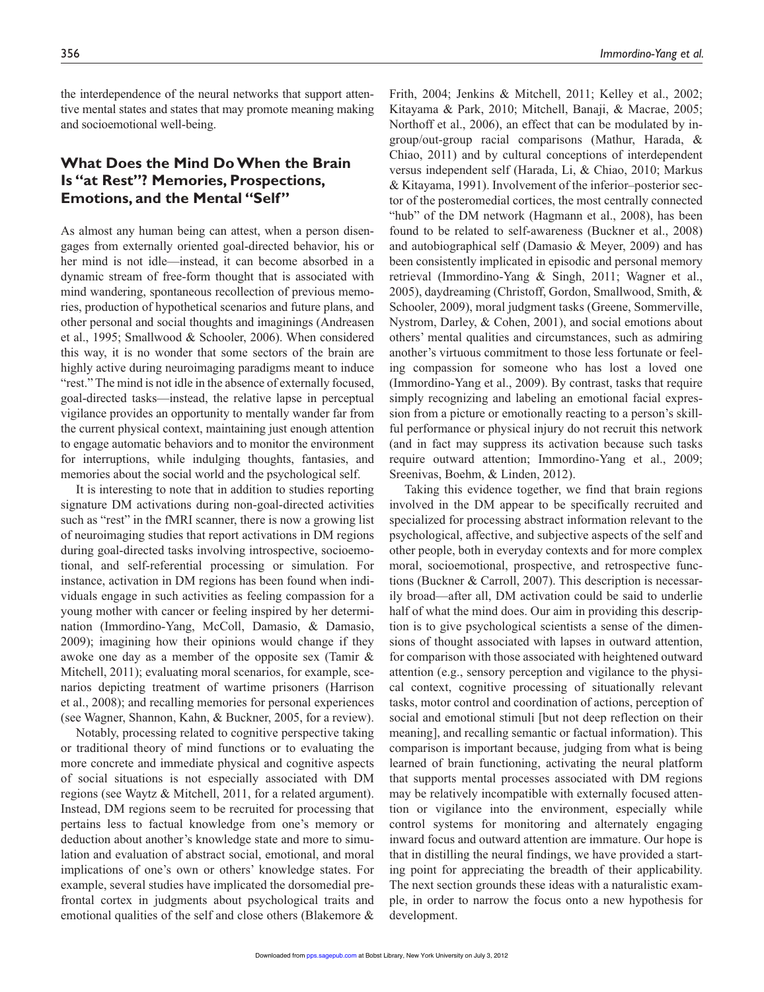the interdependence of the neural networks that support attentive mental states and states that may promote meaning making and socioemotional well-being.

### **What Does the Mind Do When the Brain Is "at Rest"? Memories, Prospections, Emotions, and the Mental "Self"**

As almost any human being can attest, when a person disengages from externally oriented goal-directed behavior, his or her mind is not idle—instead, it can become absorbed in a dynamic stream of free-form thought that is associated with mind wandering, spontaneous recollection of previous memories, production of hypothetical scenarios and future plans, and other personal and social thoughts and imaginings (Andreasen et al., 1995; Smallwood & Schooler, 2006). When considered this way, it is no wonder that some sectors of the brain are highly active during neuroimaging paradigms meant to induce "rest." The mind is not idle in the absence of externally focused, goal-directed tasks—instead, the relative lapse in perceptual vigilance provides an opportunity to mentally wander far from the current physical context, maintaining just enough attention to engage automatic behaviors and to monitor the environment for interruptions, while indulging thoughts, fantasies, and memories about the social world and the psychological self.

It is interesting to note that in addition to studies reporting signature DM activations during non-goal-directed activities such as "rest" in the fMRI scanner, there is now a growing list of neuroimaging studies that report activations in DM regions during goal-directed tasks involving introspective, socioemotional, and self-referential processing or simulation. For instance, activation in DM regions has been found when individuals engage in such activities as feeling compassion for a young mother with cancer or feeling inspired by her determination (Immordino-Yang, McColl, Damasio, & Damasio, 2009); imagining how their opinions would change if they awoke one day as a member of the opposite sex (Tamir & Mitchell, 2011); evaluating moral scenarios, for example, scenarios depicting treatment of wartime prisoners (Harrison et al., 2008); and recalling memories for personal experiences (see Wagner, Shannon, Kahn, & Buckner, 2005, for a review).

Notably, processing related to cognitive perspective taking or traditional theory of mind functions or to evaluating the more concrete and immediate physical and cognitive aspects of social situations is not especially associated with DM regions (see Waytz & Mitchell, 2011, for a related argument). Instead, DM regions seem to be recruited for processing that pertains less to factual knowledge from one's memory or deduction about another's knowledge state and more to simulation and evaluation of abstract social, emotional, and moral implications of one's own or others' knowledge states. For example, several studies have implicated the dorsomedial prefrontal cortex in judgments about psychological traits and emotional qualities of the self and close others (Blakemore &

Frith, 2004; Jenkins & Mitchell, 2011; Kelley et al., 2002; Kitayama & Park, 2010; Mitchell, Banaji, & Macrae, 2005; Northoff et al., 2006), an effect that can be modulated by ingroup/out-group racial comparisons (Mathur, Harada, & Chiao, 2011) and by cultural conceptions of interdependent versus independent self (Harada, Li, & Chiao, 2010; Markus & Kitayama, 1991). Involvement of the inferior–posterior sector of the posteromedial cortices, the most centrally connected "hub" of the DM network (Hagmann et al., 2008), has been found to be related to self-awareness (Buckner et al., 2008) and autobiographical self (Damasio & Meyer, 2009) and has been consistently implicated in episodic and personal memory retrieval (Immordino-Yang & Singh, 2011; Wagner et al., 2005), daydreaming (Christoff, Gordon, Smallwood, Smith, & Schooler, 2009), moral judgment tasks (Greene, Sommerville, Nystrom, Darley, & Cohen, 2001), and social emotions about others' mental qualities and circumstances, such as admiring another's virtuous commitment to those less fortunate or feeling compassion for someone who has lost a loved one (Immordino-Yang et al., 2009). By contrast, tasks that require simply recognizing and labeling an emotional facial expression from a picture or emotionally reacting to a person's skillful performance or physical injury do not recruit this network (and in fact may suppress its activation because such tasks require outward attention; Immordino-Yang et al., 2009; Sreenivas, Boehm, & Linden, 2012).

Taking this evidence together, we find that brain regions involved in the DM appear to be specifically recruited and specialized for processing abstract information relevant to the psychological, affective, and subjective aspects of the self and other people, both in everyday contexts and for more complex moral, socioemotional, prospective, and retrospective functions (Buckner & Carroll, 2007). This description is necessarily broad—after all, DM activation could be said to underlie half of what the mind does. Our aim in providing this description is to give psychological scientists a sense of the dimensions of thought associated with lapses in outward attention, for comparison with those associated with heightened outward attention (e.g., sensory perception and vigilance to the physical context, cognitive processing of situationally relevant tasks, motor control and coordination of actions, perception of social and emotional stimuli [but not deep reflection on their meaning], and recalling semantic or factual information). This comparison is important because, judging from what is being learned of brain functioning, activating the neural platform that supports mental processes associated with DM regions may be relatively incompatible with externally focused attention or vigilance into the environment, especially while control systems for monitoring and alternately engaging inward focus and outward attention are immature. Our hope is that in distilling the neural findings, we have provided a starting point for appreciating the breadth of their applicability. The next section grounds these ideas with a naturalistic example, in order to narrow the focus onto a new hypothesis for development.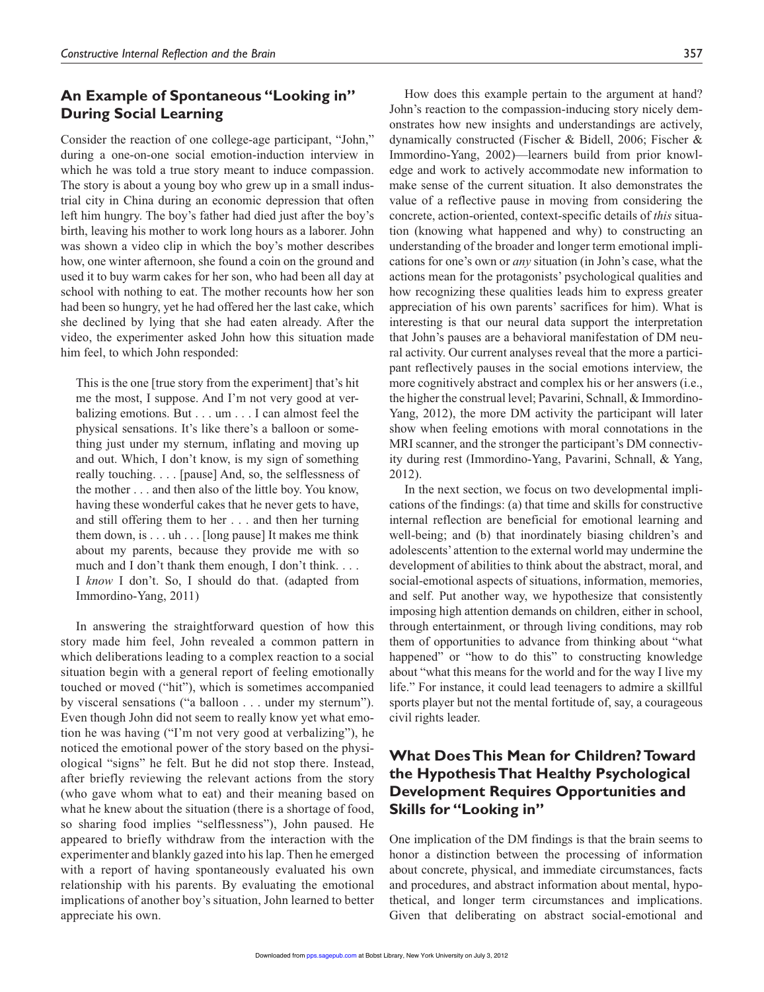### **An Example of Spontaneous "Looking in" During Social Learning**

Consider the reaction of one college-age participant, "John," during a one-on-one social emotion-induction interview in which he was told a true story meant to induce compassion. The story is about a young boy who grew up in a small industrial city in China during an economic depression that often left him hungry. The boy's father had died just after the boy's birth, leaving his mother to work long hours as a laborer. John was shown a video clip in which the boy's mother describes how, one winter afternoon, she found a coin on the ground and used it to buy warm cakes for her son, who had been all day at school with nothing to eat. The mother recounts how her son had been so hungry, yet he had offered her the last cake, which she declined by lying that she had eaten already. After the video, the experimenter asked John how this situation made him feel, to which John responded:

This is the one [true story from the experiment] that's hit me the most, I suppose. And I'm not very good at verbalizing emotions. But . . . um . . . I can almost feel the physical sensations. It's like there's a balloon or something just under my sternum, inflating and moving up and out. Which, I don't know, is my sign of something really touching. . . . [pause] And, so, the selflessness of the mother . . . and then also of the little boy. You know, having these wonderful cakes that he never gets to have, and still offering them to her . . . and then her turning them down, is  $\dots$  uh  $\dots$  [long pause] It makes me think about my parents, because they provide me with so much and I don't thank them enough, I don't think. . . . I *know* I don't. So, I should do that. (adapted from Immordino-Yang, 2011)

In answering the straightforward question of how this story made him feel, John revealed a common pattern in which deliberations leading to a complex reaction to a social situation begin with a general report of feeling emotionally touched or moved ("hit"), which is sometimes accompanied by visceral sensations ("a balloon . . . under my sternum"). Even though John did not seem to really know yet what emotion he was having ("I'm not very good at verbalizing"), he noticed the emotional power of the story based on the physiological "signs" he felt. But he did not stop there. Instead, after briefly reviewing the relevant actions from the story (who gave whom what to eat) and their meaning based on what he knew about the situation (there is a shortage of food, so sharing food implies "selflessness"), John paused. He appeared to briefly withdraw from the interaction with the experimenter and blankly gazed into his lap. Then he emerged with a report of having spontaneously evaluated his own relationship with his parents. By evaluating the emotional implications of another boy's situation, John learned to better appreciate his own.

How does this example pertain to the argument at hand? John's reaction to the compassion-inducing story nicely demonstrates how new insights and understandings are actively, dynamically constructed (Fischer & Bidell, 2006; Fischer & Immordino-Yang, 2002)—learners build from prior knowledge and work to actively accommodate new information to make sense of the current situation. It also demonstrates the value of a reflective pause in moving from considering the concrete, action-oriented, context-specific details of *this* situation (knowing what happened and why) to constructing an understanding of the broader and longer term emotional implications for one's own or *any* situation (in John's case, what the actions mean for the protagonists' psychological qualities and how recognizing these qualities leads him to express greater appreciation of his own parents' sacrifices for him). What is interesting is that our neural data support the interpretation that John's pauses are a behavioral manifestation of DM neural activity. Our current analyses reveal that the more a participant reflectively pauses in the social emotions interview, the more cognitively abstract and complex his or her answers (i.e., the higher the construal level; Pavarini, Schnall, & Immordino-Yang, 2012), the more DM activity the participant will later show when feeling emotions with moral connotations in the MRI scanner, and the stronger the participant's DM connectivity during rest (Immordino-Yang, Pavarini, Schnall, & Yang, 2012).

In the next section, we focus on two developmental implications of the findings: (a) that time and skills for constructive internal reflection are beneficial for emotional learning and well-being; and (b) that inordinately biasing children's and adolescents' attention to the external world may undermine the development of abilities to think about the abstract, moral, and social-emotional aspects of situations, information, memories, and self. Put another way, we hypothesize that consistently imposing high attention demands on children, either in school, through entertainment, or through living conditions, may rob them of opportunities to advance from thinking about "what happened" or "how to do this" to constructing knowledge about "what this means for the world and for the way I live my life." For instance, it could lead teenagers to admire a skillful sports player but not the mental fortitude of, say, a courageous civil rights leader.

## **What Does This Mean for Children? Toward the Hypothesis That Healthy Psychological Development Requires Opportunities and Skills for "Looking in"**

One implication of the DM findings is that the brain seems to honor a distinction between the processing of information about concrete, physical, and immediate circumstances, facts and procedures, and abstract information about mental, hypothetical, and longer term circumstances and implications. Given that deliberating on abstract social-emotional and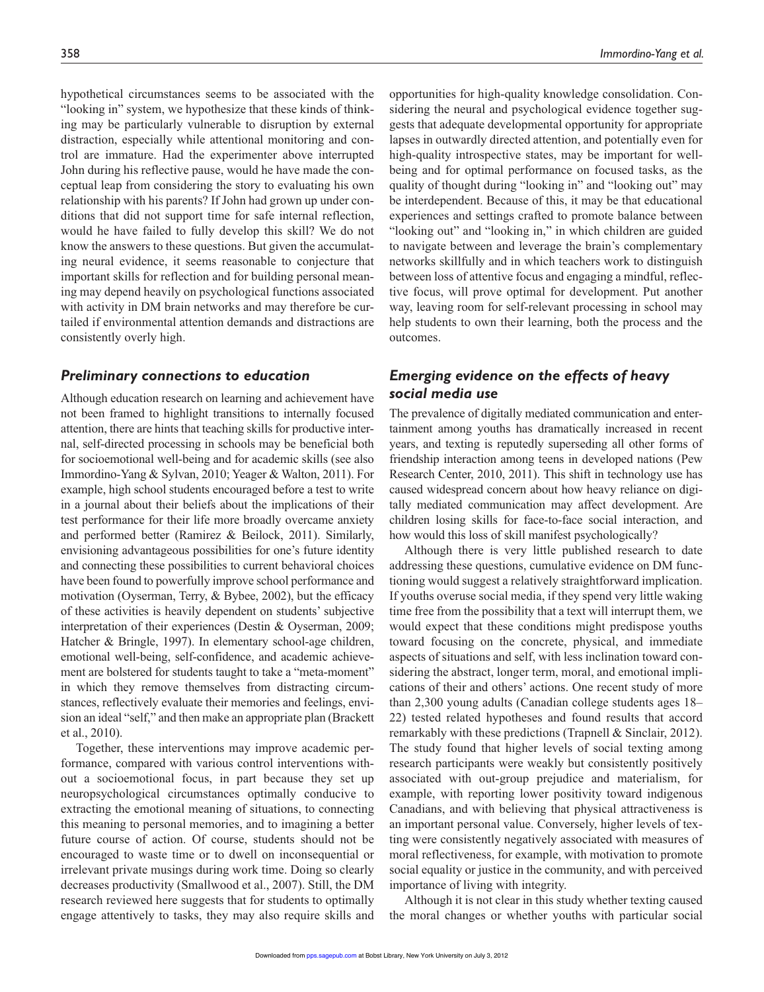hypothetical circumstances seems to be associated with the "looking in" system, we hypothesize that these kinds of thinking may be particularly vulnerable to disruption by external distraction, especially while attentional monitoring and control are immature. Had the experimenter above interrupted John during his reflective pause, would he have made the conceptual leap from considering the story to evaluating his own relationship with his parents? If John had grown up under conditions that did not support time for safe internal reflection, would he have failed to fully develop this skill? We do not know the answers to these questions. But given the accumulating neural evidence, it seems reasonable to conjecture that important skills for reflection and for building personal meaning may depend heavily on psychological functions associated with activity in DM brain networks and may therefore be curtailed if environmental attention demands and distractions are consistently overly high.

#### *Preliminary connections to education*

Although education research on learning and achievement have not been framed to highlight transitions to internally focused attention, there are hints that teaching skills for productive internal, self-directed processing in schools may be beneficial both for socioemotional well-being and for academic skills (see also Immordino-Yang & Sylvan, 2010; Yeager & Walton, 2011). For example, high school students encouraged before a test to write in a journal about their beliefs about the implications of their test performance for their life more broadly overcame anxiety and performed better (Ramirez & Beilock, 2011). Similarly, envisioning advantageous possibilities for one's future identity and connecting these possibilities to current behavioral choices have been found to powerfully improve school performance and motivation (Oyserman, Terry, & Bybee, 2002), but the efficacy of these activities is heavily dependent on students' subjective interpretation of their experiences (Destin & Oyserman, 2009; Hatcher & Bringle, 1997). In elementary school-age children, emotional well-being, self-confidence, and academic achievement are bolstered for students taught to take a "meta-moment" in which they remove themselves from distracting circumstances, reflectively evaluate their memories and feelings, envision an ideal "self," and then make an appropriate plan (Brackett et al., 2010).

Together, these interventions may improve academic performance, compared with various control interventions without a socioemotional focus, in part because they set up neuropsychological circumstances optimally conducive to extracting the emotional meaning of situations, to connecting this meaning to personal memories, and to imagining a better future course of action. Of course, students should not be encouraged to waste time or to dwell on inconsequential or irrelevant private musings during work time. Doing so clearly decreases productivity (Smallwood et al., 2007). Still, the DM research reviewed here suggests that for students to optimally engage attentively to tasks, they may also require skills and

opportunities for high-quality knowledge consolidation. Considering the neural and psychological evidence together suggests that adequate developmental opportunity for appropriate lapses in outwardly directed attention, and potentially even for high-quality introspective states, may be important for wellbeing and for optimal performance on focused tasks, as the quality of thought during "looking in" and "looking out" may be interdependent. Because of this, it may be that educational experiences and settings crafted to promote balance between "looking out" and "looking in," in which children are guided to navigate between and leverage the brain's complementary networks skillfully and in which teachers work to distinguish between loss of attentive focus and engaging a mindful, reflective focus, will prove optimal for development. Put another way, leaving room for self-relevant processing in school may help students to own their learning, both the process and the outcomes.

### *Emerging evidence on the effects of heavy social media use*

The prevalence of digitally mediated communication and entertainment among youths has dramatically increased in recent years, and texting is reputedly superseding all other forms of friendship interaction among teens in developed nations (Pew Research Center, 2010, 2011). This shift in technology use has caused widespread concern about how heavy reliance on digitally mediated communication may affect development. Are children losing skills for face-to-face social interaction, and how would this loss of skill manifest psychologically?

Although there is very little published research to date addressing these questions, cumulative evidence on DM functioning would suggest a relatively straightforward implication. If youths overuse social media, if they spend very little waking time free from the possibility that a text will interrupt them, we would expect that these conditions might predispose youths toward focusing on the concrete, physical, and immediate aspects of situations and self, with less inclination toward considering the abstract, longer term, moral, and emotional implications of their and others' actions. One recent study of more than 2,300 young adults (Canadian college students ages 18– 22) tested related hypotheses and found results that accord remarkably with these predictions (Trapnell & Sinclair, 2012). The study found that higher levels of social texting among research participants were weakly but consistently positively associated with out-group prejudice and materialism, for example, with reporting lower positivity toward indigenous Canadians, and with believing that physical attractiveness is an important personal value. Conversely, higher levels of texting were consistently negatively associated with measures of moral reflectiveness, for example, with motivation to promote social equality or justice in the community, and with perceived importance of living with integrity.

Although it is not clear in this study whether texting caused the moral changes or whether youths with particular social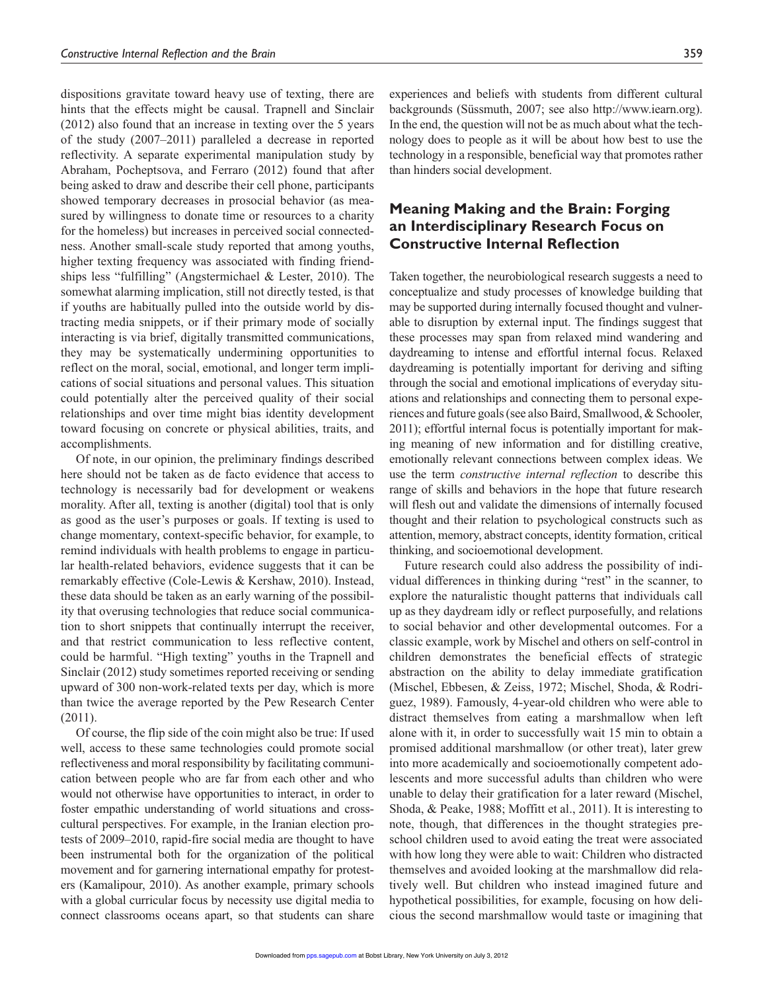dispositions gravitate toward heavy use of texting, there are hints that the effects might be causal. Trapnell and Sinclair (2012) also found that an increase in texting over the 5 years of the study (2007–2011) paralleled a decrease in reported reflectivity. A separate experimental manipulation study by Abraham, Pocheptsova, and Ferraro (2012) found that after being asked to draw and describe their cell phone, participants showed temporary decreases in prosocial behavior (as measured by willingness to donate time or resources to a charity for the homeless) but increases in perceived social connectedness. Another small-scale study reported that among youths, higher texting frequency was associated with finding friendships less "fulfilling" (Angstermichael & Lester, 2010). The somewhat alarming implication, still not directly tested, is that if youths are habitually pulled into the outside world by distracting media snippets, or if their primary mode of socially interacting is via brief, digitally transmitted communications, they may be systematically undermining opportunities to reflect on the moral, social, emotional, and longer term implications of social situations and personal values. This situation could potentially alter the perceived quality of their social relationships and over time might bias identity development toward focusing on concrete or physical abilities, traits, and accomplishments.

Of note, in our opinion, the preliminary findings described here should not be taken as de facto evidence that access to technology is necessarily bad for development or weakens morality. After all, texting is another (digital) tool that is only as good as the user's purposes or goals. If texting is used to change momentary, context-specific behavior, for example, to remind individuals with health problems to engage in particular health-related behaviors, evidence suggests that it can be remarkably effective (Cole-Lewis & Kershaw, 2010). Instead, these data should be taken as an early warning of the possibility that overusing technologies that reduce social communication to short snippets that continually interrupt the receiver, and that restrict communication to less reflective content, could be harmful. "High texting" youths in the Trapnell and Sinclair (2012) study sometimes reported receiving or sending upward of 300 non-work-related texts per day, which is more than twice the average reported by the Pew Research Center (2011).

Of course, the flip side of the coin might also be true: If used well, access to these same technologies could promote social reflectiveness and moral responsibility by facilitating communication between people who are far from each other and who would not otherwise have opportunities to interact, in order to foster empathic understanding of world situations and crosscultural perspectives. For example, in the Iranian election protests of 2009–2010, rapid-fire social media are thought to have been instrumental both for the organization of the political movement and for garnering international empathy for protesters (Kamalipour, 2010). As another example, primary schools with a global curricular focus by necessity use digital media to connect classrooms oceans apart, so that students can share

experiences and beliefs with students from different cultural backgrounds (Süssmuth, 2007; see also http://www.iearn.org). In the end, the question will not be as much about what the technology does to people as it will be about how best to use the technology in a responsible, beneficial way that promotes rather than hinders social development.

### **Meaning Making and the Brain: Forging an Interdisciplinary Research Focus on Constructive Internal Reflection**

Taken together, the neurobiological research suggests a need to conceptualize and study processes of knowledge building that may be supported during internally focused thought and vulnerable to disruption by external input. The findings suggest that these processes may span from relaxed mind wandering and daydreaming to intense and effortful internal focus. Relaxed daydreaming is potentially important for deriving and sifting through the social and emotional implications of everyday situations and relationships and connecting them to personal experiences and future goals (see also Baird, Smallwood, & Schooler, 2011); effortful internal focus is potentially important for making meaning of new information and for distilling creative, emotionally relevant connections between complex ideas. We use the term *constructive internal reflection* to describe this range of skills and behaviors in the hope that future research will flesh out and validate the dimensions of internally focused thought and their relation to psychological constructs such as attention, memory, abstract concepts, identity formation, critical thinking, and socioemotional development.

Future research could also address the possibility of individual differences in thinking during "rest" in the scanner, to explore the naturalistic thought patterns that individuals call up as they daydream idly or reflect purposefully, and relations to social behavior and other developmental outcomes. For a classic example, work by Mischel and others on self-control in children demonstrates the beneficial effects of strategic abstraction on the ability to delay immediate gratification (Mischel, Ebbesen, & Zeiss, 1972; Mischel, Shoda, & Rodriguez, 1989). Famously, 4-year-old children who were able to distract themselves from eating a marshmallow when left alone with it, in order to successfully wait 15 min to obtain a promised additional marshmallow (or other treat), later grew into more academically and socioemotionally competent adolescents and more successful adults than children who were unable to delay their gratification for a later reward (Mischel, Shoda, & Peake, 1988; Moffitt et al., 2011). It is interesting to note, though, that differences in the thought strategies preschool children used to avoid eating the treat were associated with how long they were able to wait: Children who distracted themselves and avoided looking at the marshmallow did relatively well. But children who instead imagined future and hypothetical possibilities, for example, focusing on how delicious the second marshmallow would taste or imagining that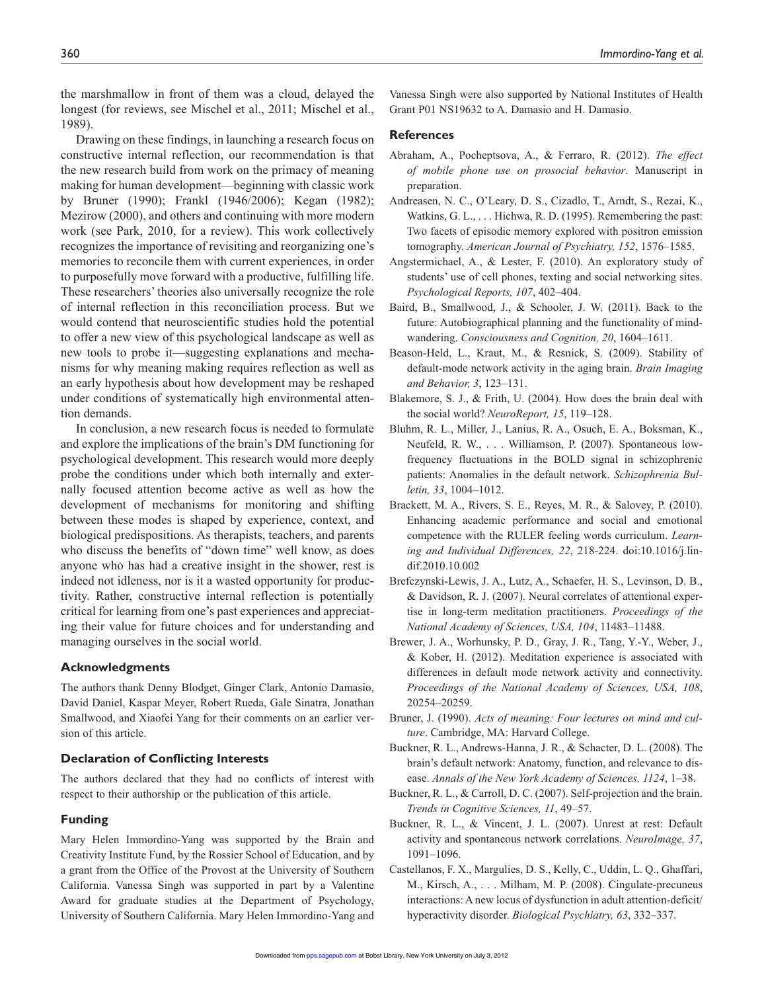the marshmallow in front of them was a cloud, delayed the longest (for reviews, see Mischel et al., 2011; Mischel et al., 1989).

Drawing on these findings, in launching a research focus on constructive internal reflection, our recommendation is that the new research build from work on the primacy of meaning making for human development—beginning with classic work by Bruner (1990); Frankl (1946/2006); Kegan (1982); Mezirow (2000), and others and continuing with more modern work (see Park, 2010, for a review). This work collectively recognizes the importance of revisiting and reorganizing one's memories to reconcile them with current experiences, in order to purposefully move forward with a productive, fulfilling life. These researchers' theories also universally recognize the role of internal reflection in this reconciliation process. But we would contend that neuroscientific studies hold the potential to offer a new view of this psychological landscape as well as new tools to probe it—suggesting explanations and mechanisms for why meaning making requires reflection as well as an early hypothesis about how development may be reshaped under conditions of systematically high environmental attention demands.

In conclusion, a new research focus is needed to formulate and explore the implications of the brain's DM functioning for psychological development. This research would more deeply probe the conditions under which both internally and externally focused attention become active as well as how the development of mechanisms for monitoring and shifting between these modes is shaped by experience, context, and biological predispositions. As therapists, teachers, and parents who discuss the benefits of "down time" well know, as does anyone who has had a creative insight in the shower, rest is indeed not idleness, nor is it a wasted opportunity for productivity. Rather, constructive internal reflection is potentially critical for learning from one's past experiences and appreciating their value for future choices and for understanding and managing ourselves in the social world.

#### **Acknowledgments**

The authors thank Denny Blodget, Ginger Clark, Antonio Damasio, David Daniel, Kaspar Meyer, Robert Rueda, Gale Sinatra, Jonathan Smallwood, and Xiaofei Yang for their comments on an earlier version of this article.

#### **Declaration of Conflicting Interests**

The authors declared that they had no conflicts of interest with respect to their authorship or the publication of this article.

#### **Funding**

Mary Helen Immordino-Yang was supported by the Brain and Creativity Institute Fund, by the Rossier School of Education, and by a grant from the Office of the Provost at the University of Southern California. Vanessa Singh was supported in part by a Valentine Award for graduate studies at the Department of Psychology, University of Southern California. Mary Helen Immordino-Yang and

Vanessa Singh were also supported by National Institutes of Health Grant P01 NS19632 to A. Damasio and H. Damasio.

#### **References**

- Abraham, A., Pocheptsova, A., & Ferraro, R. (2012). *The effect of mobile phone use on prosocial behavior*. Manuscript in preparation.
- Andreasen, N. C., O'Leary, D. S., Cizadlo, T., Arndt, S., Rezai, K., Watkins, G. L., . . . Hichwa, R. D. (1995). Remembering the past: Two facets of episodic memory explored with positron emission tomography. *American Journal of Psychiatry, 152*, 1576–1585.
- Angstermichael, A., & Lester, F. (2010). An exploratory study of students' use of cell phones, texting and social networking sites. *Psychological Reports, 107*, 402–404.
- Baird, B., Smallwood, J., & Schooler, J. W. (2011). Back to the future: Autobiographical planning and the functionality of mindwandering. *Consciousness and Cognition, 20*, 1604–1611.
- Beason-Held, L., Kraut, M., & Resnick, S. (2009). Stability of default-mode network activity in the aging brain. *Brain Imaging and Behavior, 3*, 123–131.
- Blakemore, S. J., & Frith, U. (2004). How does the brain deal with the social world? *NeuroReport, 15*, 119–128.
- Bluhm, R. L., Miller, J., Lanius, R. A., Osuch, E. A., Boksman, K., Neufeld, R. W., . . . Williamson, P. (2007). Spontaneous lowfrequency fluctuations in the BOLD signal in schizophrenic patients: Anomalies in the default network. *Schizophrenia Bulletin, 33*, 1004–1012.
- Brackett, M. A., Rivers, S. E., Reyes, M. R., & Salovey, P. (2010). Enhancing academic performance and social and emotional competence with the RULER feeling words curriculum. *Learning and Individual Differences, 22*, 218-224. doi:10.1016/j.lindif.2010.10.002
- Brefczynski-Lewis, J. A., Lutz, A., Schaefer, H. S., Levinson, D. B., & Davidson, R. J. (2007). Neural correlates of attentional expertise in long-term meditation practitioners. *Proceedings of the National Academy of Sciences, USA, 104*, 11483–11488.
- Brewer, J. A., Worhunsky, P. D., Gray, J. R., Tang, Y.-Y., Weber, J., & Kober, H. (2012). Meditation experience is associated with differences in default mode network activity and connectivity. *Proceedings of the National Academy of Sciences, USA, 108*, 20254–20259.
- Bruner, J. (1990). *Acts of meaning: Four lectures on mind and culture*. Cambridge, MA: Harvard College.
- Buckner, R. L., Andrews-Hanna, J. R., & Schacter, D. L. (2008). The brain's default network: Anatomy, function, and relevance to disease. *Annals of the New York Academy of Sciences, 1124*, 1–38.
- Buckner, R. L., & Carroll, D. C. (2007). Self-projection and the brain. *Trends in Cognitive Sciences, 11*, 49–57.
- Buckner, R. L., & Vincent, J. L. (2007). Unrest at rest: Default activity and spontaneous network correlations. *NeuroImage, 37*, 1091–1096.
- Castellanos, F. X., Margulies, D. S., Kelly, C., Uddin, L. Q., Ghaffari, M., Kirsch, A., . . . Milham, M. P. (2008). Cingulate-precuneus interactions: A new locus of dysfunction in adult attention-deficit/ hyperactivity disorder. *Biological Psychiatry, 63*, 332–337.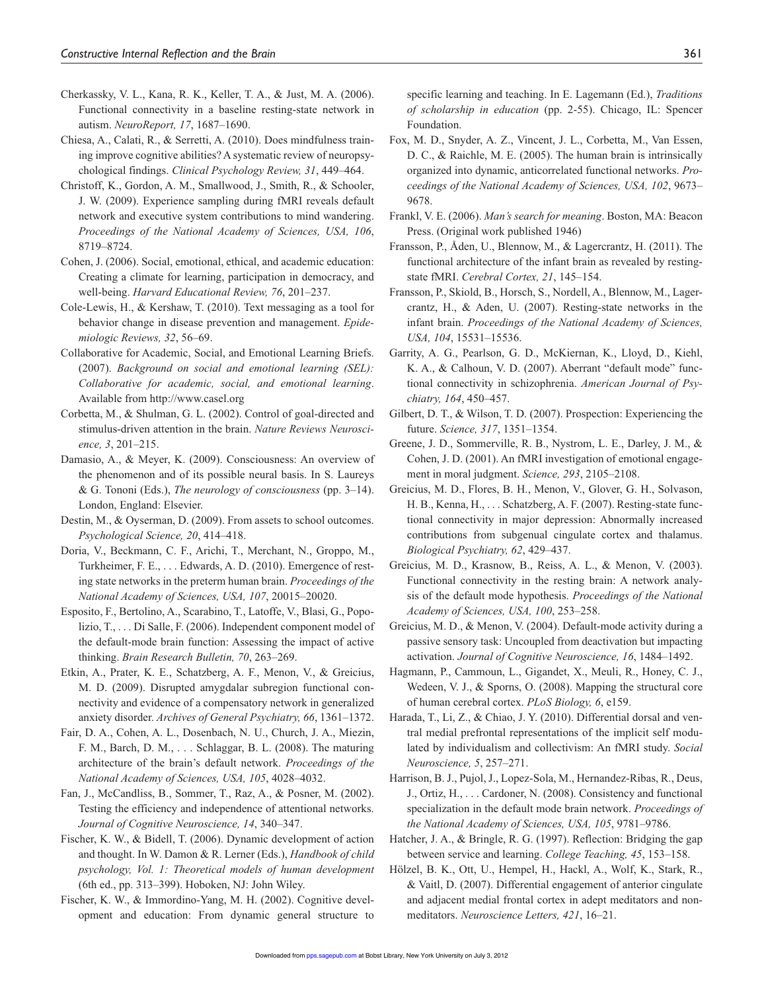- Cherkassky, V. L., Kana, R. K., Keller, T. A., & Just, M. A. (2006). Functional connectivity in a baseline resting-state network in autism. *NeuroReport, 17*, 1687–1690.
- Chiesa, A., Calati, R., & Serretti, A. (2010). Does mindfulness training improve cognitive abilities? A systematic review of neuropsychological findings. *Clinical Psychology Review, 31*, 449–464.
- Christoff, K., Gordon, A. M., Smallwood, J., Smith, R., & Schooler, J. W. (2009). Experience sampling during fMRI reveals default network and executive system contributions to mind wandering. *Proceedings of the National Academy of Sciences, USA, 106*, 8719–8724.
- Cohen, J. (2006). Social, emotional, ethical, and academic education: Creating a climate for learning, participation in democracy, and well-being. *Harvard Educational Review, 76*, 201–237.
- Cole-Lewis, H., & Kershaw, T. (2010). Text messaging as a tool for behavior change in disease prevention and management. *Epidemiologic Reviews, 32*, 56–69.
- Collaborative for Academic, Social, and Emotional Learning Briefs. (2007). *Background on social and emotional learning (SEL): Collaborative for academic, social, and emotional learning*. Available from http://www.casel.org
- Corbetta, M., & Shulman, G. L. (2002). Control of goal-directed and stimulus-driven attention in the brain. *Nature Reviews Neuroscience, 3*, 201–215.
- Damasio, A., & Meyer, K. (2009). Consciousness: An overview of the phenomenon and of its possible neural basis. In S. Laureys & G. Tononi (Eds.), *The neurology of consciousness* (pp. 3–14). London, England: Elsevier.
- Destin, M., & Oyserman, D. (2009). From assets to school outcomes. *Psychological Science, 20*, 414–418.
- Doria, V., Beckmann, C. F., Arichi, T., Merchant, N., Groppo, M., Turkheimer, F. E., . . . Edwards, A. D. (2010). Emergence of resting state networks in the preterm human brain. *Proceedings of the National Academy of Sciences, USA, 107*, 20015–20020.
- Esposito, F., Bertolino, A., Scarabino, T., Latoffe, V., Blasi, G., Popolizio, T., . . . Di Salle, F. (2006). Independent component model of the default-mode brain function: Assessing the impact of active thinking. *Brain Research Bulletin, 70*, 263–269.
- Etkin, A., Prater, K. E., Schatzberg, A. F., Menon, V., & Greicius, M. D. (2009). Disrupted amygdalar subregion functional connectivity and evidence of a compensatory network in generalized anxiety disorder. *Archives of General Psychiatry, 66*, 1361–1372.
- Fair, D. A., Cohen, A. L., Dosenbach, N. U., Church, J. A., Miezin, F. M., Barch, D. M., . . . Schlaggar, B. L. (2008). The maturing architecture of the brain's default network. *Proceedings of the National Academy of Sciences, USA, 105*, 4028–4032.
- Fan, J., McCandliss, B., Sommer, T., Raz, A., & Posner, M. (2002). Testing the efficiency and independence of attentional networks. *Journal of Cognitive Neuroscience, 14*, 340–347.
- Fischer, K. W., & Bidell, T. (2006). Dynamic development of action and thought. In W. Damon & R. Lerner (Eds.), *Handbook of child psychology, Vol. 1: Theoretical models of human development* (6th ed., pp. 313–399). Hoboken, NJ: John Wiley.
- Fischer, K. W., & Immordino-Yang, M. H. (2002). Cognitive development and education: From dynamic general structure to

specific learning and teaching. In E. Lagemann (Ed.), *Traditions of scholarship in education* (pp. 2-55). Chicago, IL: Spencer Foundation.

- Fox, M. D., Snyder, A. Z., Vincent, J. L., Corbetta, M., Van Essen, D. C., & Raichle, M. E. (2005). The human brain is intrinsically organized into dynamic, anticorrelated functional networks. *Proceedings of the National Academy of Sciences, USA, 102*, 9673– 9678.
- Frankl, V. E. (2006). *Man's search for meaning*. Boston, MA: Beacon Press. (Original work published 1946)
- Fransson, P., Åden, U., Blennow, M., & Lagercrantz, H. (2011). The functional architecture of the infant brain as revealed by restingstate fMRI. *Cerebral Cortex, 21*, 145–154.
- Fransson, P., Skiold, B., Horsch, S., Nordell, A., Blennow, M., Lagercrantz, H., & Aden, U. (2007). Resting-state networks in the infant brain. *Proceedings of the National Academy of Sciences, USA, 104*, 15531–15536.
- Garrity, A. G., Pearlson, G. D., McKiernan, K., Lloyd, D., Kiehl, K. A., & Calhoun, V. D. (2007). Aberrant "default mode" functional connectivity in schizophrenia. *American Journal of Psychiatry, 164*, 450–457.
- Gilbert, D. T., & Wilson, T. D. (2007). Prospection: Experiencing the future. *Science, 317*, 1351–1354.
- Greene, J. D., Sommerville, R. B., Nystrom, L. E., Darley, J. M., & Cohen, J. D. (2001). An fMRI investigation of emotional engagement in moral judgment. *Science, 293*, 2105–2108.
- Greicius, M. D., Flores, B. H., Menon, V., Glover, G. H., Solvason, H. B., Kenna, H., . . . Schatzberg, A. F. (2007). Resting-state functional connectivity in major depression: Abnormally increased contributions from subgenual cingulate cortex and thalamus. *Biological Psychiatry, 62*, 429–437.
- Greicius, M. D., Krasnow, B., Reiss, A. L., & Menon, V. (2003). Functional connectivity in the resting brain: A network analysis of the default mode hypothesis. *Proceedings of the National Academy of Sciences, USA, 100*, 253–258.
- Greicius, M. D., & Menon, V. (2004). Default-mode activity during a passive sensory task: Uncoupled from deactivation but impacting activation. *Journal of Cognitive Neuroscience, 16*, 1484–1492.
- Hagmann, P., Cammoun, L., Gigandet, X., Meuli, R., Honey, C. J., Wedeen, V. J., & Sporns, O. (2008). Mapping the structural core of human cerebral cortex. *PLoS Biology, 6*, e159.
- Harada, T., Li, Z., & Chiao, J. Y. (2010). Differential dorsal and ventral medial prefrontal representations of the implicit self modulated by individualism and collectivism: An fMRI study. *Social Neuroscience, 5*, 257–271.
- Harrison, B. J., Pujol, J., Lopez-Sola, M., Hernandez-Ribas, R., Deus, J., Ortiz, H., . . . Cardoner, N. (2008). Consistency and functional specialization in the default mode brain network. *Proceedings of the National Academy of Sciences, USA, 105*, 9781–9786.
- Hatcher, J. A., & Bringle, R. G. (1997). Reflection: Bridging the gap between service and learning. *College Teaching, 45*, 153–158.
- Hölzel, B. K., Ott, U., Hempel, H., Hackl, A., Wolf, K., Stark, R., & Vaitl, D. (2007). Differential engagement of anterior cingulate and adjacent medial frontal cortex in adept meditators and nonmeditators. *Neuroscience Letters, 421*, 16–21.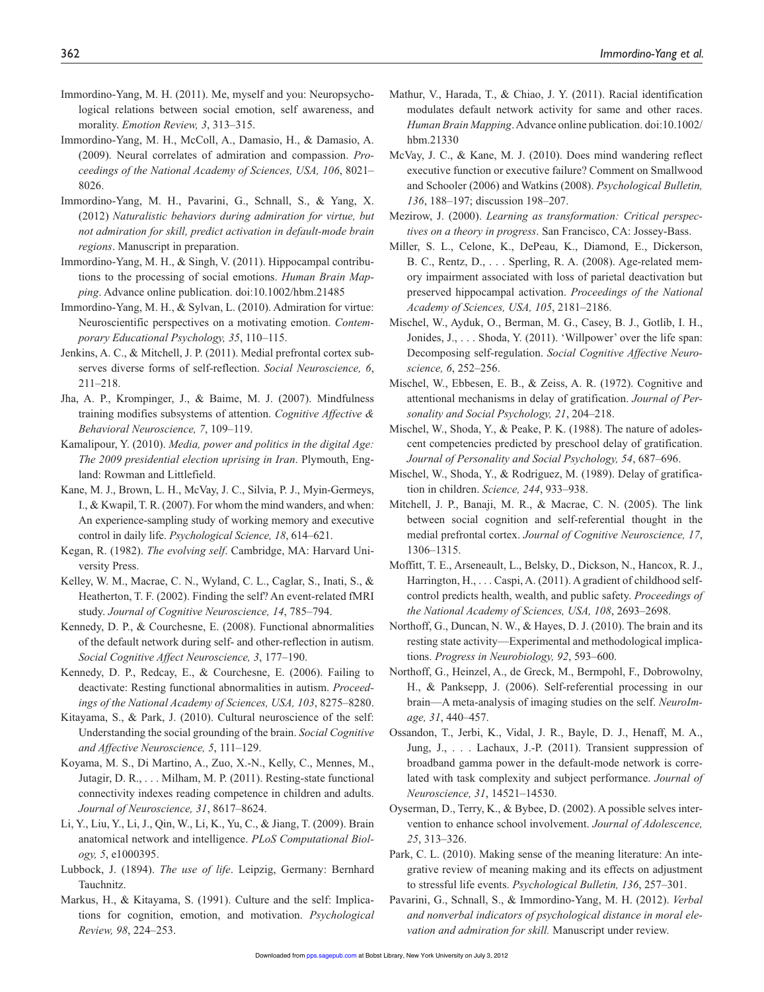- Immordino-Yang, M. H. (2011). Me, myself and you: Neuropsychological relations between social emotion, self awareness, and morality. *Emotion Review, 3*, 313–315.
- Immordino-Yang, M. H., McColl, A., Damasio, H., & Damasio, A. (2009). Neural correlates of admiration and compassion. *Proceedings of the National Academy of Sciences, USA, 106*, 8021– 8026.
- Immordino-Yang, M. H., Pavarini, G., Schnall, S., & Yang, X. (2012) *Naturalistic behaviors during admiration for virtue, but not admiration for skill, predict activation in default-mode brain regions*. Manuscript in preparation.
- Immordino-Yang, M. H., & Singh, V. (2011). Hippocampal contributions to the processing of social emotions. *Human Brain Mapping*. Advance online publication. doi:10.1002/hbm.21485
- Immordino-Yang, M. H., & Sylvan, L. (2010). Admiration for virtue: Neuroscientific perspectives on a motivating emotion. *Contemporary Educational Psychology, 35*, 110–115.
- Jenkins, A. C., & Mitchell, J. P. (2011). Medial prefrontal cortex subserves diverse forms of self-reflection. *Social Neuroscience, 6*, 211–218.
- Jha, A. P., Krompinger, J., & Baime, M. J. (2007). Mindfulness training modifies subsystems of attention. *Cognitive Affective & Behavioral Neuroscience, 7*, 109–119.
- Kamalipour, Y. (2010). *Media, power and politics in the digital Age: The 2009 presidential election uprising in Iran*. Plymouth, England: Rowman and Littlefield.
- Kane, M. J., Brown, L. H., McVay, J. C., Silvia, P. J., Myin-Germeys, I., & Kwapil, T. R. (2007). For whom the mind wanders, and when: An experience-sampling study of working memory and executive control in daily life. *Psychological Science, 18*, 614–621.
- Kegan, R. (1982). *The evolving self*. Cambridge, MA: Harvard University Press.
- Kelley, W. M., Macrae, C. N., Wyland, C. L., Caglar, S., Inati, S., & Heatherton, T. F. (2002). Finding the self? An event-related fMRI study. *Journal of Cognitive Neuroscience, 14*, 785–794.
- Kennedy, D. P., & Courchesne, E. (2008). Functional abnormalities of the default network during self- and other-reflection in autism. *Social Cognitive Affect Neuroscience, 3*, 177–190.
- Kennedy, D. P., Redcay, E., & Courchesne, E. (2006). Failing to deactivate: Resting functional abnormalities in autism. *Proceedings of the National Academy of Sciences, USA, 103*, 8275–8280.
- Kitayama, S., & Park, J. (2010). Cultural neuroscience of the self: Understanding the social grounding of the brain. *Social Cognitive and Affective Neuroscience, 5*, 111–129.
- Koyama, M. S., Di Martino, A., Zuo, X.-N., Kelly, C., Mennes, M., Jutagir, D. R., . . . Milham, M. P. (2011). Resting-state functional connectivity indexes reading competence in children and adults. *Journal of Neuroscience, 31*, 8617–8624.
- Li, Y., Liu, Y., Li, J., Qin, W., Li, K., Yu, C., & Jiang, T. (2009). Brain anatomical network and intelligence. *PLoS Computational Biology, 5*, e1000395.
- Lubbock, J. (1894). *The use of life*. Leipzig, Germany: Bernhard Tauchnitz.
- Markus, H., & Kitayama, S. (1991). Culture and the self: Implications for cognition, emotion, and motivation. *Psychological Review, 98*, 224–253.
- Mathur, V., Harada, T., & Chiao, J. Y. (2011). Racial identification modulates default network activity for same and other races. *Human Brain Mapping*. Advance online publication. doi:10.1002/ hbm.21330
- McVay, J. C., & Kane, M. J. (2010). Does mind wandering reflect executive function or executive failure? Comment on Smallwood and Schooler (2006) and Watkins (2008). *Psychological Bulletin, 136*, 188–197; discussion 198–207.
- Mezirow, J. (2000). *Learning as transformation: Critical perspectives on a theory in progress*. San Francisco, CA: Jossey-Bass.
- Miller, S. L., Celone, K., DePeau, K., Diamond, E., Dickerson, B. C., Rentz, D., . . . Sperling, R. A. (2008). Age-related memory impairment associated with loss of parietal deactivation but preserved hippocampal activation. *Proceedings of the National Academy of Sciences, USA, 105*, 2181–2186.
- Mischel, W., Ayduk, O., Berman, M. G., Casey, B. J., Gotlib, I. H., Jonides, J., . . . Shoda, Y. (2011). 'Willpower' over the life span: Decomposing self-regulation. *Social Cognitive Affective Neuroscience, 6*, 252–256.
- Mischel, W., Ebbesen, E. B., & Zeiss, A. R. (1972). Cognitive and attentional mechanisms in delay of gratification. *Journal of Personality and Social Psychology, 21*, 204–218.
- Mischel, W., Shoda, Y., & Peake, P. K. (1988). The nature of adolescent competencies predicted by preschool delay of gratification. *Journal of Personality and Social Psychology, 54*, 687–696.
- Mischel, W., Shoda, Y., & Rodriguez, M. (1989). Delay of gratification in children. *Science, 244*, 933–938.
- Mitchell, J. P., Banaji, M. R., & Macrae, C. N. (2005). The link between social cognition and self-referential thought in the medial prefrontal cortex. *Journal of Cognitive Neuroscience, 17*, 1306–1315.
- Moffitt, T. E., Arseneault, L., Belsky, D., Dickson, N., Hancox, R. J., Harrington, H., . . . Caspi, A. (2011). A gradient of childhood selfcontrol predicts health, wealth, and public safety. *Proceedings of the National Academy of Sciences, USA, 108*, 2693–2698.
- Northoff, G., Duncan, N. W., & Hayes, D. J. (2010). The brain and its resting state activity—Experimental and methodological implications. *Progress in Neurobiology, 92*, 593–600.
- Northoff, G., Heinzel, A., de Greck, M., Bermpohl, F., Dobrowolny, H., & Panksepp, J. (2006). Self-referential processing in our brain—A meta-analysis of imaging studies on the self. *NeuroImage, 31*, 440–457.
- Ossandon, T., Jerbi, K., Vidal, J. R., Bayle, D. J., Henaff, M. A., Jung, J., . . . Lachaux, J.-P. (2011). Transient suppression of broadband gamma power in the default-mode network is correlated with task complexity and subject performance. *Journal of Neuroscience, 31*, 14521–14530.
- Oyserman, D., Terry, K., & Bybee, D. (2002). A possible selves intervention to enhance school involvement. *Journal of Adolescence, 25*, 313–326.
- Park, C. L. (2010). Making sense of the meaning literature: An integrative review of meaning making and its effects on adjustment to stressful life events. *Psychological Bulletin, 136*, 257–301.
- Pavarini, G., Schnall, S., & Immordino-Yang, M. H. (2012). *Verbal and nonverbal indicators of psychological distance in moral elevation and admiration for skill.* Manuscript under review.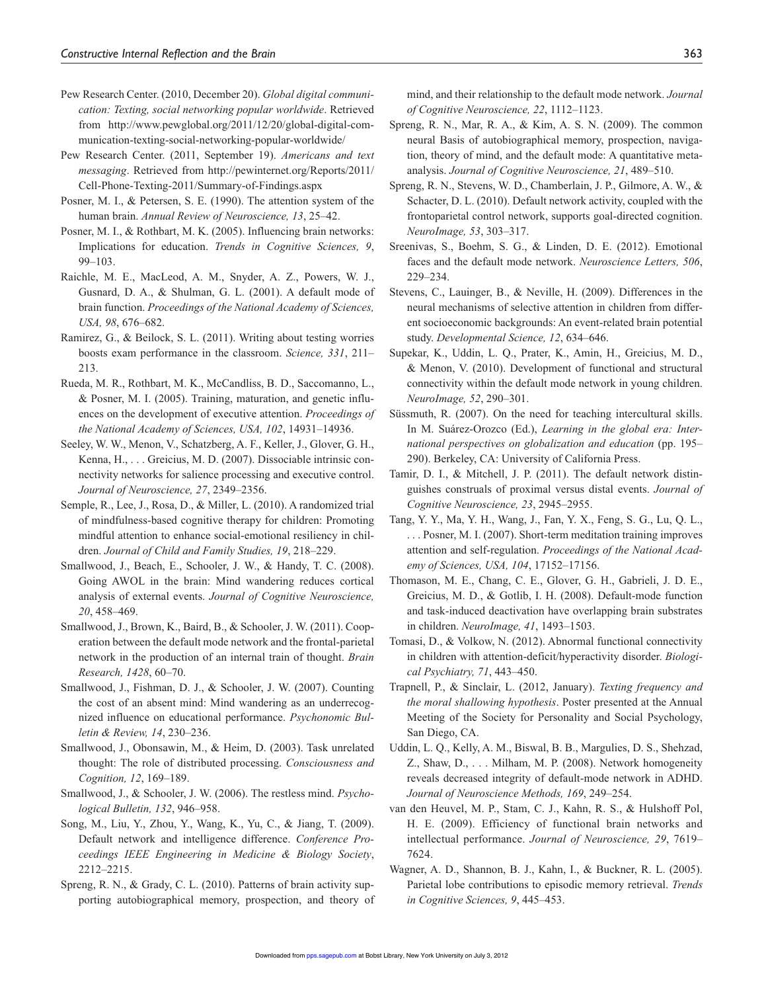- Pew Research Center. (2010, December 20). *Global digital communication: Texting, social networking popular worldwide*. Retrieved from http://www.pewglobal.org/2011/12/20/global-digital-communication-texting-social-networking-popular-worldwide/
- Pew Research Center. (2011, September 19). *Americans and text messaging*. Retrieved from http://pewinternet.org/Reports/2011/ Cell-Phone-Texting-2011/Summary-of-Findings.aspx
- Posner, M. I., & Petersen, S. E. (1990). The attention system of the human brain. *Annual Review of Neuroscience, 13*, 25–42.
- Posner, M. I., & Rothbart, M. K. (2005). Influencing brain networks: Implications for education. *Trends in Cognitive Sciences, 9*, 99–103.
- Raichle, M. E., MacLeod, A. M., Snyder, A. Z., Powers, W. J., Gusnard, D. A., & Shulman, G. L. (2001). A default mode of brain function. *Proceedings of the National Academy of Sciences, USA, 98*, 676–682.
- Ramirez, G., & Beilock, S. L. (2011). Writing about testing worries boosts exam performance in the classroom. *Science, 331*, 211– 213.
- Rueda, M. R., Rothbart, M. K., McCandliss, B. D., Saccomanno, L., & Posner, M. I. (2005). Training, maturation, and genetic influences on the development of executive attention. *Proceedings of the National Academy of Sciences, USA, 102*, 14931–14936.
- Seeley, W. W., Menon, V., Schatzberg, A. F., Keller, J., Glover, G. H., Kenna, H., . . . Greicius, M. D. (2007). Dissociable intrinsic connectivity networks for salience processing and executive control. *Journal of Neuroscience, 27*, 2349–2356.
- Semple, R., Lee, J., Rosa, D., & Miller, L. (2010). A randomized trial of mindfulness-based cognitive therapy for children: Promoting mindful attention to enhance social-emotional resiliency in children. *Journal of Child and Family Studies, 19*, 218–229.
- Smallwood, J., Beach, E., Schooler, J. W., & Handy, T. C. (2008). Going AWOL in the brain: Mind wandering reduces cortical analysis of external events. *Journal of Cognitive Neuroscience, 20*, 458–469.
- Smallwood, J., Brown, K., Baird, B., & Schooler, J. W. (2011). Cooperation between the default mode network and the frontal-parietal network in the production of an internal train of thought. *Brain Research, 1428*, 60–70.
- Smallwood, J., Fishman, D. J., & Schooler, J. W. (2007). Counting the cost of an absent mind: Mind wandering as an underrecognized influence on educational performance. *Psychonomic Bulletin & Review, 14*, 230–236.
- Smallwood, J., Obonsawin, M., & Heim, D. (2003). Task unrelated thought: The role of distributed processing. *Consciousness and Cognition, 12*, 169–189.
- Smallwood, J., & Schooler, J. W. (2006). The restless mind. *Psychological Bulletin, 132*, 946–958.
- Song, M., Liu, Y., Zhou, Y., Wang, K., Yu, C., & Jiang, T. (2009). Default network and intelligence difference. *Conference Proceedings IEEE Engineering in Medicine & Biology Society*, 2212–2215.
- Spreng, R. N., & Grady, C. L. (2010). Patterns of brain activity supporting autobiographical memory, prospection, and theory of

mind, and their relationship to the default mode network. *Journal of Cognitive Neuroscience, 22*, 1112–1123.

- Spreng, R. N., Mar, R. A., & Kim, A. S. N. (2009). The common neural Basis of autobiographical memory, prospection, navigation, theory of mind, and the default mode: A quantitative metaanalysis. *Journal of Cognitive Neuroscience, 21*, 489–510.
- Spreng, R. N., Stevens, W. D., Chamberlain, J. P., Gilmore, A. W., & Schacter, D. L. (2010). Default network activity, coupled with the frontoparietal control network, supports goal-directed cognition. *NeuroImage, 53*, 303–317.
- Sreenivas, S., Boehm, S. G., & Linden, D. E. (2012). Emotional faces and the default mode network. *Neuroscience Letters, 506*, 229–234.
- Stevens, C., Lauinger, B., & Neville, H. (2009). Differences in the neural mechanisms of selective attention in children from different socioeconomic backgrounds: An event-related brain potential study. *Developmental Science, 12*, 634–646.
- Supekar, K., Uddin, L. Q., Prater, K., Amin, H., Greicius, M. D., & Menon, V. (2010). Development of functional and structural connectivity within the default mode network in young children. *NeuroImage, 52*, 290–301.
- Süssmuth, R. (2007). On the need for teaching intercultural skills. In M. Suárez-Orozco (Ed.), *Learning in the global era: International perspectives on globalization and education* (pp. 195– 290). Berkeley, CA: University of California Press.
- Tamir, D. I., & Mitchell, J. P. (2011). The default network distinguishes construals of proximal versus distal events. *Journal of Cognitive Neuroscience, 23*, 2945–2955.
- Tang, Y. Y., Ma, Y. H., Wang, J., Fan, Y. X., Feng, S. G., Lu, Q. L., . . . Posner, M. I. (2007). Short-term meditation training improves attention and self-regulation. *Proceedings of the National Academy of Sciences, USA, 104*, 17152–17156.
- Thomason, M. E., Chang, C. E., Glover, G. H., Gabrieli, J. D. E., Greicius, M. D., & Gotlib, I. H. (2008). Default-mode function and task-induced deactivation have overlapping brain substrates in children. *NeuroImage, 41*, 1493–1503.
- Tomasi, D., & Volkow, N. (2012). Abnormal functional connectivity in children with attention-deficit/hyperactivity disorder. *Biological Psychiatry, 71*, 443–450.
- Trapnell, P., & Sinclair, L. (2012, January). *Texting frequency and the moral shallowing hypothesis*. Poster presented at the Annual Meeting of the Society for Personality and Social Psychology, San Diego, CA.
- Uddin, L. Q., Kelly, A. M., Biswal, B. B., Margulies, D. S., Shehzad, Z., Shaw, D., . . . Milham, M. P. (2008). Network homogeneity reveals decreased integrity of default-mode network in ADHD. *Journal of Neuroscience Methods, 169*, 249–254.
- van den Heuvel, M. P., Stam, C. J., Kahn, R. S., & Hulshoff Pol, H. E. (2009). Efficiency of functional brain networks and intellectual performance. *Journal of Neuroscience, 29*, 7619– 7624.
- Wagner, A. D., Shannon, B. J., Kahn, I., & Buckner, R. L. (2005). Parietal lobe contributions to episodic memory retrieval. *Trends in Cognitive Sciences, 9*, 445–453.